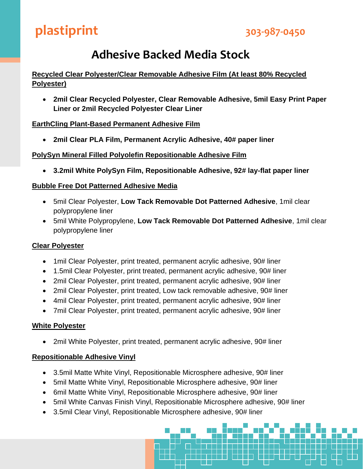## **Adhesive Backed Media Stock**

### **Recycled Clear Polyester/Clear Removable Adhesive Film (At least 80% Recycled Polyester)**

• **2mil Clear Recycled Polyester, Clear Removable Adhesive, 5mil Easy Print Paper Liner or 2mil Recycled Polyester Clear Liner**

### **EarthCling Plant-Based Permanent Adhesive Film**

• **2mil Clear PLA Film, Permanent Acrylic Adhesive, 40# paper liner**

#### **PolySyn Mineral Filled Polyolefin Repositionable Adhesive Film**

• **3.2mil White PolySyn Film, Repositionable Adhesive, 92# lay-flat paper liner**

#### **Bubble Free Dot Patterned Adhesive Media**

- 5mil Clear Polyester, **Low Tack Removable Dot Patterned Adhesive**, 1mil clear polypropylene liner
- 5mil White Polypropylene, **Low Tack Removable Dot Patterned Adhesive**, 1mil clear polypropylene liner

#### **Clear Polyester**

- 1 mil Clear Polyester, print treated, permanent acrylic adhesive, 90# liner
- 1.5mil Clear Polyester, print treated, permanent acrylic adhesive, 90# liner
- 2mil Clear Polyester, print treated, permanent acrylic adhesive, 90# liner
- 2mil Clear Polyester, print treated, Low tack removable adhesive, 90# liner
- 4mil Clear Polyester, print treated, permanent acrylic adhesive, 90# liner
- 7mil Clear Polyester, print treated, permanent acrylic adhesive, 90# liner

#### **White Polyester**

• 2mil White Polyester, print treated, permanent acrylic adhesive, 90# liner

#### **Repositionable Adhesive Vinyl**

- 3.5mil Matte White Vinyl, Repositionable Microsphere adhesive, 90# liner
- 5mil Matte White Vinyl, Repositionable Microsphere adhesive, 90# liner
- 6mil Matte White Vinyl, Repositionable Microsphere adhesive, 90# liner
- 5mil White Canvas Finish Vinyl, Repositionable Microsphere adhesive, 90# liner
- 3.5mil Clear Vinyl, Repositionable Microsphere adhesive, 90# liner